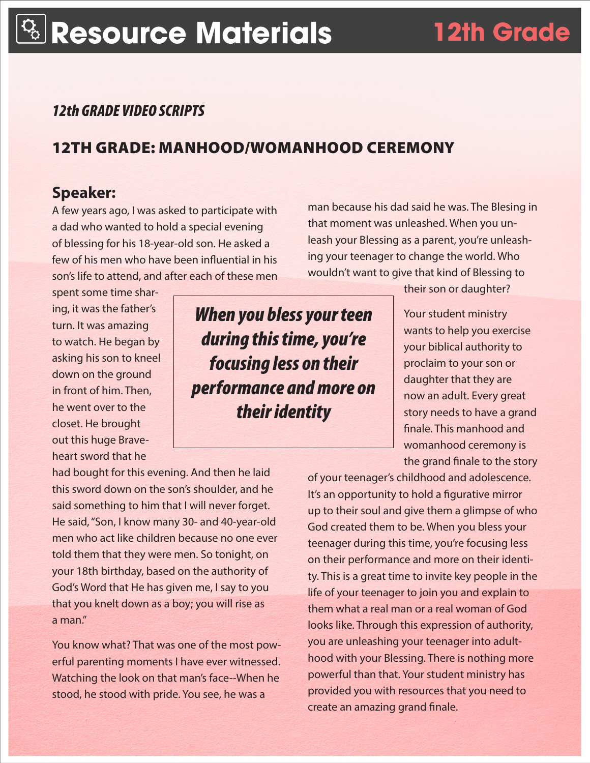### *12th GRADE VIDEO SCRIPTS*

## 12TH GRADE: MANHOOD/WOMANHOOD CEREMONY

### **Speaker:**

A few years ago, I was asked to participate with a dad who wanted to hold a special evening of blessing for his 18-year-old son. He asked a few of his men who have been influential in his son's life to attend, and after each of these men

spent some time sharing, it was the father's turn. It was amazing to watch. He began by asking his son to kneel down on the ground in front of him. Then, he went over to the closet. He brought out this huge Braveheart sword that he

*When you bless your teen during this time, you're focusing less on their performance and more on their identity*

man because his dad said he was. The Blesing in that moment was unleashed. When you unleash your Blessing as a parent, you're unleashing your teenager to change the world. Who wouldn't want to give that kind of Blessing to

their son or daughter?

Your student ministry wants to help you exercise your biblical authority to proclaim to your son or daughter that they are now an adult. Every great story needs to have a grand finale. This manhood and womanhood ceremony is the grand finale to the story

had bought for this evening. And then he laid this sword down on the son's shoulder, and he said something to him that I will never forget. He said, "Son, I know many 30- and 40-year-old men who act like children because no one ever told them that they were men. So tonight, on your 18th birthday, based on the authority of God's Word that He has given me, I say to you that you knelt down as a boy; you will rise as a man."

You know what? That was one of the most powerful parenting moments I have ever witnessed. Watching the look on that man's face--When he stood, he stood with pride. You see, he was a

of your teenager's childhood and adolescence. It's an opportunity to hold a figurative mirror up to their soul and give them a glimpse of who God created them to be. When you bless your teenager during this time, you're focusing less on their performance and more on their identity. This is a great time to invite key people in the life of your teenager to join you and explain to them what a real man or a real woman of God looks like. Through this expression of authority, you are unleashing your teenager into adulthood with your Blessing. There is nothing more powerful than that. Your student ministry has provided you with resources that you need to create an amazing grand finale.